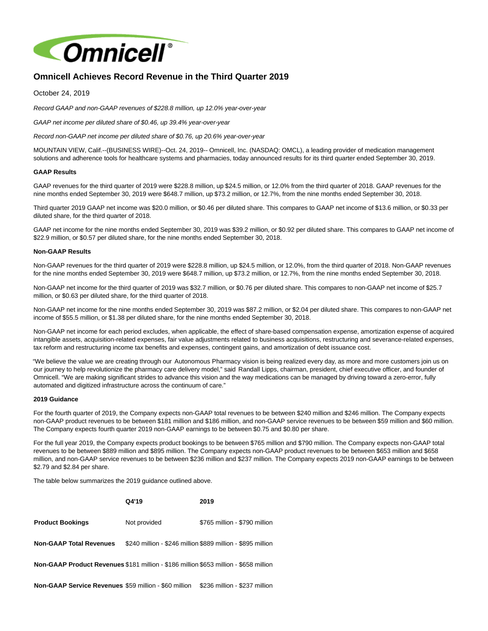

# **Omnicell Achieves Record Revenue in the Third Quarter 2019**

## October 24, 2019

Record GAAP and non-GAAP revenues of \$228.8 million, up 12.0% year-over-year

GAAP net income per diluted share of \$0.46, up 39.4% year-over-year

Record non-GAAP net income per diluted share of \$0.76, up 20.6% year-over-year

MOUNTAIN VIEW, Calif.--(BUSINESS WIRE)--Oct. 24, 2019-- Omnicell, Inc. (NASDAQ: OMCL), a leading provider of medication management solutions and adherence tools for healthcare systems and pharmacies, today announced results for its third quarter ended September 30, 2019.

#### **GAAP Results**

GAAP revenues for the third quarter of 2019 were \$228.8 million, up \$24.5 million, or 12.0% from the third quarter of 2018. GAAP revenues for the nine months ended September 30, 2019 were \$648.7 million, up \$73.2 million, or 12.7%, from the nine months ended September 30, 2018.

Third quarter 2019 GAAP net income was \$20.0 million, or \$0.46 per diluted share. This compares to GAAP net income of \$13.6 million, or \$0.33 per diluted share, for the third quarter of 2018.

GAAP net income for the nine months ended September 30, 2019 was \$39.2 million, or \$0.92 per diluted share. This compares to GAAP net income of \$22.9 million, or \$0.57 per diluted share, for the nine months ended September 30, 2018.

#### **Non-GAAP Results**

Non-GAAP revenues for the third quarter of 2019 were \$228.8 million, up \$24.5 million, or 12.0%, from the third quarter of 2018. Non-GAAP revenues for the nine months ended September 30, 2019 were \$648.7 million, up \$73.2 million, or 12.7%, from the nine months ended September 30, 2018.

Non-GAAP net income for the third quarter of 2019 was \$32.7 million, or \$0.76 per diluted share. This compares to non-GAAP net income of \$25.7 million, or \$0.63 per diluted share, for the third quarter of 2018.

Non-GAAP net income for the nine months ended September 30, 2019 was \$87.2 million, or \$2.04 per diluted share. This compares to non-GAAP net income of \$55.5 million, or \$1.38 per diluted share, for the nine months ended September 30, 2018.

Non-GAAP net income for each period excludes, when applicable, the effect of share-based compensation expense, amortization expense of acquired intangible assets, acquisition-related expenses, fair value adjustments related to business acquisitions, restructuring and severance-related expenses, tax reform and restructuring income tax benefits and expenses, contingent gains, and amortization of debt issuance cost.

"We believe the value we are creating through our Autonomous Pharmacy vision is being realized every day, as more and more customers join us on our journey to help revolutionize the pharmacy care delivery model," said Randall Lipps, chairman, president, chief executive officer, and founder of Omnicell. "We are making significant strides to advance this vision and the way medications can be managed by driving toward a zero-error, fully automated and digitized infrastructure across the continuum of care."

### **2019 Guidance**

For the fourth quarter of 2019, the Company expects non-GAAP total revenues to be between \$240 million and \$246 million. The Company expects non-GAAP product revenues to be between \$181 million and \$186 million, and non-GAAP service revenues to be between \$59 million and \$60 million. The Company expects fourth quarter 2019 non-GAAP earnings to be between \$0.75 and \$0.80 per share.

For the full year 2019, the Company expects product bookings to be between \$765 million and \$790 million. The Company expects non-GAAP total revenues to be between \$889 million and \$895 million. The Company expects non-GAAP product revenues to be between \$653 million and \$658 million, and non-GAAP service revenues to be between \$236 million and \$237 million. The Company expects 2019 non-GAAP earnings to be between \$2.79 and \$2.84 per share.

The table below summarizes the 2019 guidance outlined above.

|                                                                                              | Q4'19        | 2019                                                        |
|----------------------------------------------------------------------------------------------|--------------|-------------------------------------------------------------|
| <b>Product Bookings</b>                                                                      | Not provided | \$765 million - \$790 million                               |
| <b>Non-GAAP Total Revenues</b>                                                               |              | \$240 million - \$246 million \$889 million - \$895 million |
| <b>Non-GAAP Product Revenues</b> \$181 million - \$186 million \$653 million - \$658 million |              |                                                             |
|                                                                                              |              |                                                             |

**Non-GAAP Service Revenues** \$59 million - \$60 million \$236 million - \$237 million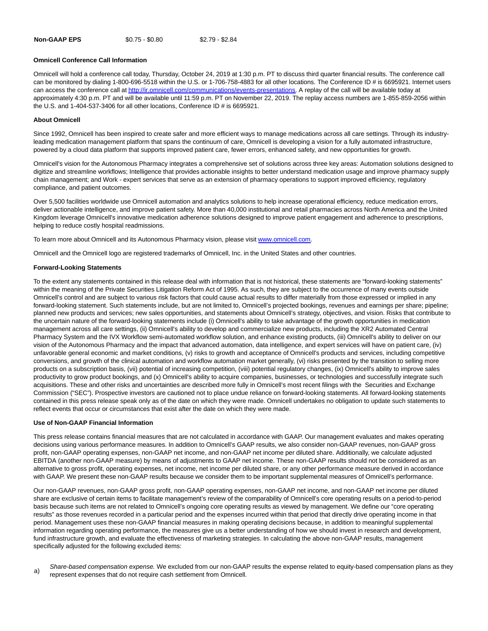#### **Omnicell Conference Call Information**

Omnicell will hold a conference call today, Thursday, October 24, 2019 at 1:30 p.m. PT to discuss third quarter financial results. The conference call can be monitored by dialing 1-800-696-5518 within the U.S. or 1-706-758-4883 for all other locations. The Conference ID # is 6695921. Internet users can access the conference call a[t http://ir.omnicell.com/communications/events-presentations.](https://cts.businesswire.com/ct/CT?id=smartlink&url=http%3A%2F%2Fir.omnicell.com%2Fcommunications%2Fevents-presentations&esheet=52117419&newsitemid=20191024005954&lan=en-US&anchor=http%3A%2F%2Fir.omnicell.com%2Fcommunications%2Fevents-presentations&index=1&md5=03f744f505c784d7763cca076d6b0dc3) A replay of the call will be available today at approximately 4:30 p.m. PT and will be available until 11:59 p.m. PT on November 22, 2019. The replay access numbers are 1-855-859-2056 within the U.S. and 1-404-537-3406 for all other locations, Conference ID # is 6695921.

#### **About Omnicell**

Since 1992, Omnicell has been inspired to create safer and more efficient ways to manage medications across all care settings. Through its industryleading medication management platform that spans the continuum of care, Omnicell is developing a vision for a fully automated infrastructure, powered by a cloud data platform that supports improved patient care, fewer errors, enhanced safety, and new opportunities for growth.

Omnicell's vision for the Autonomous Pharmacy integrates a comprehensive set of solutions across three key areas: Automation solutions designed to digitize and streamline workflows; Intelligence that provides actionable insights to better understand medication usage and improve pharmacy supply chain management; and Work - expert services that serve as an extension of pharmacy operations to support improved efficiency, regulatory compliance, and patient outcomes.

Over 5,500 facilities worldwide use Omnicell automation and analytics solutions to help increase operational efficiency, reduce medication errors, deliver actionable intelligence, and improve patient safety. More than 40,000 institutional and retail pharmacies across North America and the United Kingdom leverage Omnicell's innovative medication adherence solutions designed to improve patient engagement and adherence to prescriptions, helping to reduce costly hospital readmissions.

To learn more about Omnicell and its Autonomous Pharmacy vision, please visit [www.omnicell.com.](https://cts.businesswire.com/ct/CT?id=smartlink&url=http%3A%2F%2Fwww.omnicell.com&esheet=52117419&newsitemid=20191024005954&lan=en-US&anchor=www.omnicell.com&index=2&md5=e019ee828e4d10153b8cd1c2a9bd9e93)

Omnicell and the Omnicell logo are registered trademarks of Omnicell, Inc. in the United States and other countries.

#### **Forward-Looking Statements**

To the extent any statements contained in this release deal with information that is not historical, these statements are "forward-looking statements" within the meaning of the Private Securities Litigation Reform Act of 1995. As such, they are subject to the occurrence of many events outside Omnicell's control and are subject to various risk factors that could cause actual results to differ materially from those expressed or implied in any forward-looking statement. Such statements include, but are not limited to, Omnicell's projected bookings, revenues and earnings per share; pipeline; planned new products and services; new sales opportunities, and statements about Omnicell's strategy, objectives, and vision. Risks that contribute to the uncertain nature of the forward-looking statements include (i) Omnicell's ability to take advantage of the growth opportunities in medication management across all care settings, (ii) Omnicell's ability to develop and commercialize new products, including the XR2 Automated Central Pharmacy System and the IVX Workflow semi-automated workflow solution, and enhance existing products, (iii) Omnicell's ability to deliver on our vision of the Autonomous Pharmacy and the impact that advanced automation, data intelligence, and expert services will have on patient care, (iv) unfavorable general economic and market conditions, (v) risks to growth and acceptance of Omnicell's products and services, including competitive conversions, and growth of the clinical automation and workflow automation market generally, (vi) risks presented by the transition to selling more products on a subscription basis, (vii) potential of increasing competition, (viii) potential regulatory changes, (ix) Omnicell's ability to improve sales productivity to grow product bookings, and (x) Omnicell's ability to acquire companies, businesses, or technologies and successfully integrate such acquisitions. These and other risks and uncertainties are described more fully in Omnicell's most recent filings with the Securities and Exchange Commission ("SEC"). Prospective investors are cautioned not to place undue reliance on forward-looking statements. All forward-looking statements contained in this press release speak only as of the date on which they were made. Omnicell undertakes no obligation to update such statements to reflect events that occur or circumstances that exist after the date on which they were made.

#### **Use of Non-GAAP Financial Information**

This press release contains financial measures that are not calculated in accordance with GAAP. Our management evaluates and makes operating decisions using various performance measures. In addition to Omnicell's GAAP results, we also consider non-GAAP revenues, non-GAAP gross profit, non-GAAP operating expenses, non-GAAP net income, and non-GAAP net income per diluted share. Additionally, we calculate adjusted EBITDA (another non-GAAP measure) by means of adjustments to GAAP net income. These non-GAAP results should not be considered as an alternative to gross profit, operating expenses, net income, net income per diluted share, or any other performance measure derived in accordance with GAAP. We present these non-GAAP results because we consider them to be important supplemental measures of Omnicell's performance.

Our non-GAAP revenues, non-GAAP gross profit, non-GAAP operating expenses, non-GAAP net income, and non-GAAP net income per diluted share are exclusive of certain items to facilitate management's review of the comparability of Omnicell's core operating results on a period-to-period basis because such items are not related to Omnicell's ongoing core operating results as viewed by management. We define our "core operating results" as those revenues recorded in a particular period and the expenses incurred within that period that directly drive operating income in that period. Management uses these non-GAAP financial measures in making operating decisions because, in addition to meaningful supplemental information regarding operating performance, the measures give us a better understanding of how we should invest in research and development, fund infrastructure growth, and evaluate the effectiveness of marketing strategies. In calculating the above non-GAAP results, management specifically adjusted for the following excluded items:

Share-based compensation expense. We excluded from our non-GAAP results the expense related to equity-based compensation plans as they<br>all the expense of expense the label section and settlement from Openically represent expenses that do not require cash settlement from Omnicell.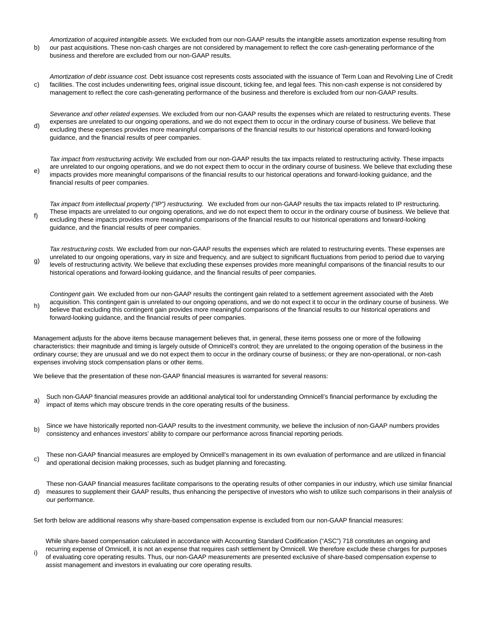b) Amortization of acquired intangible assets. We excluded from our non-GAAP results the intangible assets amortization expense resulting from our past acquisitions. These non-cash charges are not considered by management to reflect the core cash-generating performance of the business and therefore are excluded from our non-GAAP results.

c) Amortization of debt issuance cost. Debt issuance cost represents costs associated with the issuance of Term Loan and Revolving Line of Credit facilities. The cost includes underwriting fees, original issue discount, ticking fee, and legal fees. This non-cash expense is not considered by management to reflect the core cash-generating performance of the business and therefore is excluded from our non-GAAP results.

d) Severance and other related expenses. We excluded from our non-GAAP results the expenses which are related to restructuring events. These expenses are unrelated to our ongoing operations, and we do not expect them to occur in the ordinary course of business. We believe that excluding these expenses provides more meaningful comparisons of the financial results to our historical operations and forward-looking guidance, and the financial results of peer companies.

e) Tax impact from restructuring activity. We excluded from our non-GAAP results the tax impacts related to restructuring activity. These impacts are unrelated to our ongoing operations, and we do not expect them to occur in the ordinary course of business. We believe that excluding these impacts provides more meaningful comparisons of the financial results to our historical operations and forward-looking guidance, and the financial results of peer companies.

Tax impact from intellectual property ("IP") restructuring. We excluded from our non-GAAP results the tax impacts related to IP restructuring. These impacts are unrelated to our ongoing operations, and we do not expect them to occur in the ordinary course of business. We believe that excluding these impacts provides more meaningful comparisons of the financial results to our historical operations and forward-looking guidance, and the financial results of peer companies.

g) Tax restructuring costs. We excluded from our non-GAAP results the expenses which are related to restructuring events. These expenses are unrelated to our ongoing operations, vary in size and frequency, and are subject to significant fluctuations from period to period due to varying levels of restructuring activity. We believe that excluding these expenses provides more meaningful comparisons of the financial results to our historical operations and forward-looking guidance, and the financial results of peer companies.

h) Contingent gain. We excluded from our non-GAAP results the contingent gain related to a settlement agreement associated with the Ateb acquisition. This contingent gain is unrelated to our ongoing operations, and we do not expect it to occur in the ordinary course of business. We believe that excluding this contingent gain provides more meaningful comparisons of the financial results to our historical operations and forward-looking guidance, and the financial results of peer companies.

Management adjusts for the above items because management believes that, in general, these items possess one or more of the following characteristics: their magnitude and timing is largely outside of Omnicell's control; they are unrelated to the ongoing operation of the business in the ordinary course; they are unusual and we do not expect them to occur in the ordinary course of business; or they are non-operational, or non-cash expenses involving stock compensation plans or other items.

We believe that the presentation of these non-GAAP financial measures is warranted for several reasons:

f)

- a) Such non-GAAP financial measures provide an additional analytical tool for understanding Omnicell's financial performance by excluding the impact of items which may obscure trends in the core operating results of the business.
- b) Since we have historically reported non-GAAP results to the investment community, we believe the inclusion of non-GAAP numbers provides consistency and enhances investors' ability to compare our performance across financial reporting periods.
- c) These non-GAAP financial measures are employed by Omnicell's management in its own evaluation of performance and are utilized in financial and operational decision making processes, such as budget planning and forecasting.

d) These non-GAAP financial measures facilitate comparisons to the operating results of other companies in our industry, which use similar financial measures to supplement their GAAP results, thus enhancing the perspective of investors who wish to utilize such comparisons in their analysis of our performance.

Set forth below are additional reasons why share-based compensation expense is excluded from our non-GAAP financial measures:

While share-based compensation calculated in accordance with Accounting Standard Codification ("ASC") 718 constitutes an ongoing and recurring expense of Omnicell, it is not an expense that requires cash settlement by Omnicell. We therefore exclude these charges for purposes

i) of evaluating core operating results. Thus, our non-GAAP measurements are presented exclusive of share-based compensation expense to assist management and investors in evaluating our core operating results.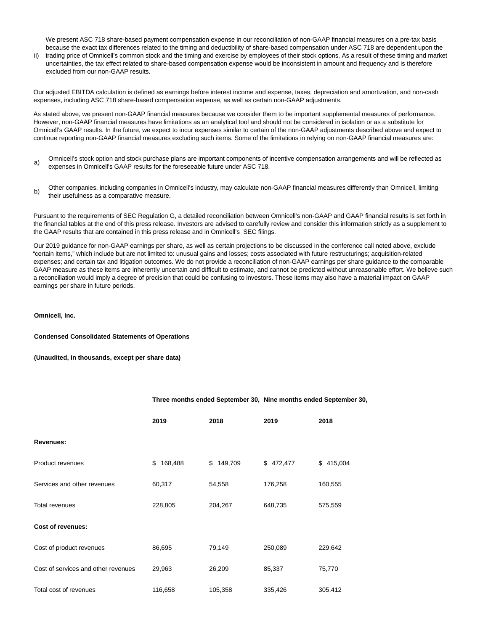We present ASC 718 share-based payment compensation expense in our reconciliation of non-GAAP financial measures on a pre-tax basis because the exact tax differences related to the timing and deductibility of share-based compensation under ASC 718 are dependent upon the

ii) trading price of Omnicell's common stock and the timing and exercise by employees of their stock options. As a result of these timing and market uncertainties, the tax effect related to share-based compensation expense would be inconsistent in amount and frequency and is therefore excluded from our non-GAAP results.

Our adjusted EBITDA calculation is defined as earnings before interest income and expense, taxes, depreciation and amortization, and non-cash expenses, including ASC 718 share-based compensation expense, as well as certain non-GAAP adjustments.

As stated above, we present non-GAAP financial measures because we consider them to be important supplemental measures of performance. However, non-GAAP financial measures have limitations as an analytical tool and should not be considered in isolation or as a substitute for Omnicell's GAAP results. In the future, we expect to incur expenses similar to certain of the non-GAAP adjustments described above and expect to continue reporting non-GAAP financial measures excluding such items. Some of the limitations in relying on non-GAAP financial measures are:

- a) Omnicell's stock option and stock purchase plans are important components of incentive compensation arrangements and will be reflected as<br>
all all proposes in Omnicell's CAAD require for the forescential future under AC expenses in Omnicell's GAAP results for the foreseeable future under ASC 718.
- b) Other companies, including companies in Omnicell's industry, may calculate non-GAAP financial measures differently than Omnicell, limiting their usefulness as a comparative measure.

Pursuant to the requirements of SEC Regulation G, a detailed reconciliation between Omnicell's non-GAAP and GAAP financial results is set forth in the financial tables at the end of this press release. Investors are advised to carefully review and consider this information strictly as a supplement to the GAAP results that are contained in this press release and in Omnicell's SEC filings.

Our 2019 guidance for non-GAAP earnings per share, as well as certain projections to be discussed in the conference call noted above, exclude "certain items," which include but are not limited to: unusual gains and losses; costs associated with future restructurings; acquisition-related expenses; and certain tax and litigation outcomes. We do not provide a reconciliation of non-GAAP earnings per share guidance to the comparable GAAP measure as these items are inherently uncertain and difficult to estimate, and cannot be predicted without unreasonable effort. We believe such a reconciliation would imply a degree of precision that could be confusing to investors. These items may also have a material impact on GAAP earnings per share in future periods.

#### **Omnicell, Inc.**

### **Condensed Consolidated Statements of Operations**

**(Unaudited, in thousands, except per share data)**

### **Three months ended September 30, Nine months ended September 30,**

|                                     | 2019          | 2018          | 2019      | 2018      |
|-------------------------------------|---------------|---------------|-----------|-----------|
| Revenues:                           |               |               |           |           |
| Product revenues                    | \$<br>168,488 | 149,709<br>\$ | \$472,477 | \$415,004 |
| Services and other revenues         | 60,317        | 54,558        | 176,258   | 160,555   |
| <b>Total revenues</b>               | 228,805       | 204,267       | 648,735   | 575,559   |
| Cost of revenues:                   |               |               |           |           |
| Cost of product revenues            | 86,695        | 79,149        | 250,089   | 229,642   |
| Cost of services and other revenues | 29,963        | 26,209        | 85,337    | 75,770    |
| Total cost of revenues              | 116,658       | 105,358       | 335,426   | 305,412   |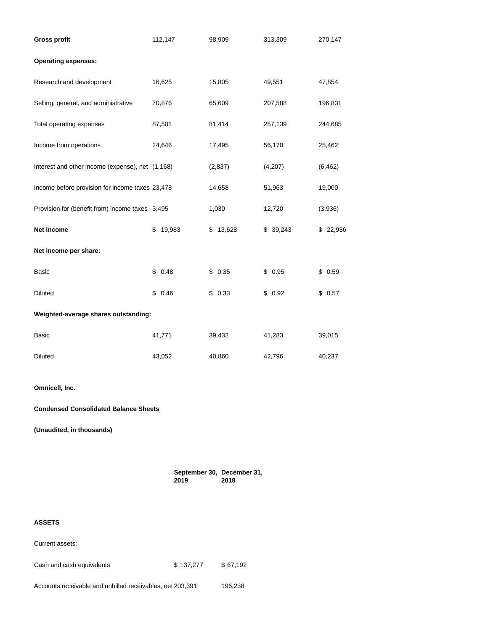| <b>Gross profit</b>                              | 112,147      | 98,909   | 313,309  | 270,147      |
|--------------------------------------------------|--------------|----------|----------|--------------|
| <b>Operating expenses:</b>                       |              |          |          |              |
| Research and development                         | 16,625       | 15,805   | 49,551   | 47,854       |
| Selling, general, and administrative             | 70,876       | 65,609   | 207,588  | 196,831      |
| Total operating expenses                         | 87,501       | 81,414   | 257,139  | 244,685      |
| Income from operations                           | 24,646       | 17,495   | 56,170   | 25,462       |
| Interest and other income (expense), net (1,168) |              | (2, 837) | (4,207)  | (6, 462)     |
| Income before provision for income taxes 23,478  |              | 14,658   | 51,963   | 19,000       |
| Provision for (benefit from) income taxes 3,495  |              | 1,030    | 12,720   | (3,936)      |
| Net income                                       | 19,983<br>\$ | \$13,628 | \$39,243 | 22,936<br>\$ |
| Net income per share:                            |              |          |          |              |
| <b>Basic</b>                                     | \$0.48       | \$0.35   | \$0.95   | \$<br>0.59   |
| <b>Diluted</b>                                   | \$0.46       | \$0.33   | \$0.92   | \$0.57       |
| Weighted-average shares outstanding:             |              |          |          |              |
| Basic                                            | 41,771       | 39,432   | 41,283   | 39,015       |
| <b>Diluted</b>                                   | 43,052       | 40,860   | 42,796   | 40,237       |

**Condensed Consolidated Balance Sheets**

**(Unaudited, in thousands)**

**September 30, December 31, 2019 2018**

# **ASSETS**

Current assets:

Cash and cash equivalents  $$ 137,277$   $$ 67,192$ 

Accounts receivable and unbilled receivables, net 203,391 196,238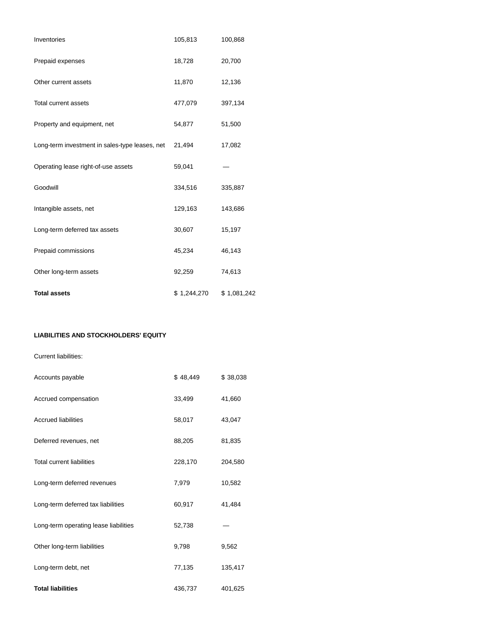| Inventories                                    | 105,813     | 100,868     |
|------------------------------------------------|-------------|-------------|
| Prepaid expenses                               | 18,728      | 20,700      |
| Other current assets                           | 11,870      | 12,136      |
| <b>Total current assets</b>                    | 477,079     | 397,134     |
| Property and equipment, net                    | 54,877      | 51,500      |
| Long-term investment in sales-type leases, net | 21,494      | 17,082      |
| Operating lease right-of-use assets            | 59,041      |             |
| Goodwill                                       | 334,516     | 335,887     |
| Intangible assets, net                         | 129,163     | 143,686     |
| Long-term deferred tax assets                  | 30,607      | 15,197      |
| Prepaid commissions                            | 45,234      | 46,143      |
| Other long-term assets                         | 92,259      | 74,613      |
| <b>Total assets</b>                            | \$1,244,270 | \$1,081,242 |

# **LIABILITIES AND STOCKHOLDERS' EQUITY**

Current liabilities:

| Accounts payable                      | \$48,449 | \$38,038 |
|---------------------------------------|----------|----------|
| Accrued compensation                  | 33,499   | 41,660   |
| <b>Accrued liabilities</b>            | 58,017   | 43,047   |
| Deferred revenues, net                | 88,205   | 81,835   |
| <b>Total current liabilities</b>      | 228,170  | 204,580  |
| Long-term deferred revenues           | 7,979    | 10,582   |
| Long-term deferred tax liabilities    | 60,917   | 41,484   |
| Long-term operating lease liabilities | 52,738   |          |
| Other long-term liabilities           | 9,798    | 9,562    |
| Long-term debt, net                   | 77,135   | 135,417  |
| <b>Total liabilities</b>              | 436,737  | 401,625  |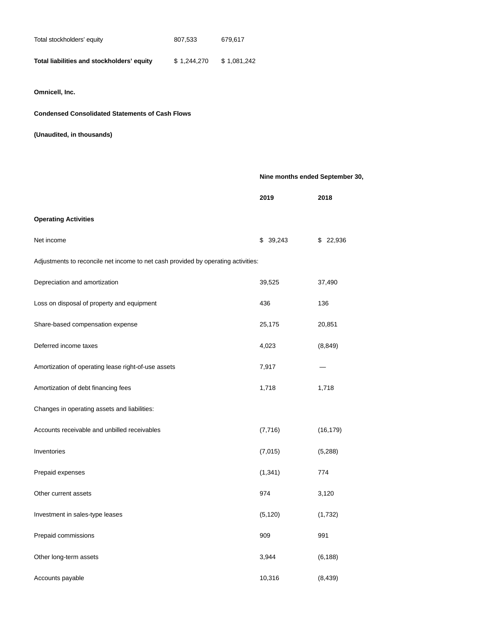| Total stockholders' equity                 | 807.533     | 679.617     |
|--------------------------------------------|-------------|-------------|
| Total liabilities and stockholders' equity | \$1.244.270 | \$1,081,242 |

## **Condensed Consolidated Statements of Cash Flows**

# **(Unaudited, in thousands)**

|                                                                                   | Nine months ended September 30, |           |
|-----------------------------------------------------------------------------------|---------------------------------|-----------|
|                                                                                   | 2019                            | 2018      |
| <b>Operating Activities</b>                                                       |                                 |           |
| Net income                                                                        | \$39,243                        | \$22,936  |
| Adjustments to reconcile net income to net cash provided by operating activities: |                                 |           |
| Depreciation and amortization                                                     | 39,525                          | 37,490    |
| Loss on disposal of property and equipment                                        | 436                             | 136       |
| Share-based compensation expense                                                  | 25,175                          | 20,851    |
| Deferred income taxes                                                             | 4,023                           | (8, 849)  |
| Amortization of operating lease right-of-use assets                               | 7,917                           |           |
| Amortization of debt financing fees                                               | 1,718                           | 1,718     |
| Changes in operating assets and liabilities:                                      |                                 |           |
| Accounts receivable and unbilled receivables                                      | (7, 716)                        | (16, 179) |
| Inventories                                                                       | (7,015)                         | (5,288)   |
| Prepaid expenses                                                                  | (1, 341)                        | 774       |
| Other current assets                                                              | 974                             | 3,120     |
| Investment in sales-type leases                                                   | (5, 120)                        | (1,732)   |
| Prepaid commissions                                                               | 909                             | 991       |
| Other long-term assets                                                            | 3,944                           | (6, 188)  |
| Accounts payable                                                                  | 10,316                          | (8, 439)  |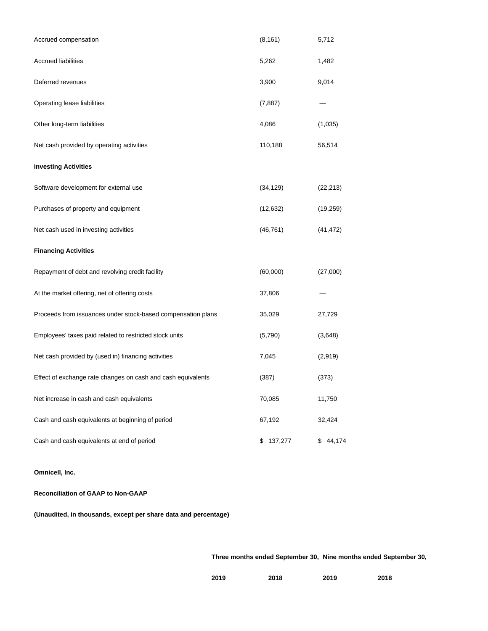| Accrued compensation                                         | (8, 161)  | 5,712     |
|--------------------------------------------------------------|-----------|-----------|
| <b>Accrued liabilities</b>                                   | 5,262     | 1,482     |
| Deferred revenues                                            | 3,900     | 9,014     |
| Operating lease liabilities                                  | (7, 887)  |           |
| Other long-term liabilities                                  | 4,086     | (1,035)   |
| Net cash provided by operating activities                    | 110,188   | 56,514    |
| <b>Investing Activities</b>                                  |           |           |
| Software development for external use                        | (34, 129) | (22, 213) |
| Purchases of property and equipment                          | (12, 632) | (19,259)  |
| Net cash used in investing activities                        | (46, 761) | (41, 472) |
| <b>Financing Activities</b>                                  |           |           |
| Repayment of debt and revolving credit facility              | (60,000)  | (27,000)  |
| At the market offering, net of offering costs                | 37,806    |           |
| Proceeds from issuances under stock-based compensation plans | 35,029    | 27,729    |
| Employees' taxes paid related to restricted stock units      | (5,790)   | (3,648)   |
| Net cash provided by (used in) financing activities          | 7,045     | (2,919)   |
| Effect of exchange rate changes on cash and cash equivalents | (387)     | (373)     |
| Net increase in cash and cash equivalents                    | 70,085    | 11,750    |
| Cash and cash equivalents at beginning of period             | 67,192    | 32,424    |
| Cash and cash equivalents at end of period                   | \$137,277 | \$44,174  |

**Reconciliation of GAAP to Non-GAAP**

**(Unaudited, in thousands, except per share data and percentage)**

**Three months ended September 30, Nine months ended September 30,**

|  | 2019 | 2018 | 2019 | 2018 |
|--|------|------|------|------|
|--|------|------|------|------|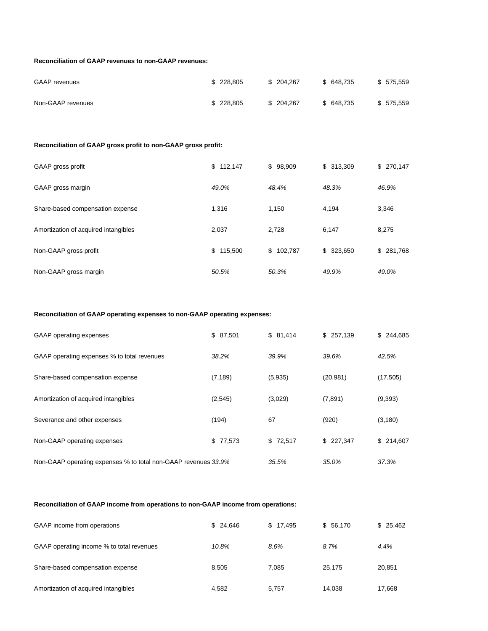### **Reconciliation of GAAP revenues to non-GAAP revenues:**

| <b>GAAP</b> revenues | \$228,805 | \$ 204.267 | \$648,735 | \$575.559  |
|----------------------|-----------|------------|-----------|------------|
| Non-GAAP revenues    | \$228,805 | \$ 204.267 | \$648.735 | \$ 575,559 |

# **Reconciliation of GAAP gross profit to non-GAAP gross profit:**

| GAAP gross profit                    | \$112,147 | \$98,909  | \$313,309  | \$270,147  |
|--------------------------------------|-----------|-----------|------------|------------|
| GAAP gross margin                    | 49.0%     | 48.4%     | 48.3%      | 46.9%      |
| Share-based compensation expense     | 1,316     | 1,150     | 4.194      | 3,346      |
| Amortization of acquired intangibles | 2,037     | 2.728     | 6.147      | 8.275      |
| Non-GAAP gross profit                | \$115,500 | \$102.787 | \$ 323,650 | \$ 281,768 |
| Non-GAAP gross margin                | 50.5%     | 50.3%     | 49.9%      | 49.0%      |

# **Reconciliation of GAAP operating expenses to non-GAAP operating expenses:**

| GAAP operating expenses                                        | \$87,501 | \$81,414 | \$257.139 | \$244.685 |
|----------------------------------------------------------------|----------|----------|-----------|-----------|
| GAAP operating expenses % to total revenues                    | 38.2%    | 39.9%    | 39.6%     | 42.5%     |
| Share-based compensation expense                               | (7, 189) | (5,935)  | (20, 981) | (17, 505) |
| Amortization of acquired intangibles                           | (2,545)  | (3,029)  | (7,891)   | (9,393)   |
| Severance and other expenses                                   | (194)    | 67       | (920)     | (3, 180)  |
| Non-GAAP operating expenses                                    | \$77,573 | \$72,517 | \$227,347 | \$214,607 |
| Non-GAAP operating expenses % to total non-GAAP revenues 33.9% |          | 35.5%    | 35.0%     | 37.3%     |

# **Reconciliation of GAAP income from operations to non-GAAP income from operations:**

| GAAP income from operations               | \$24.646 | \$17.495 | \$56.170 | \$25,462 |
|-------------------------------------------|----------|----------|----------|----------|
| GAAP operating income % to total revenues | 10.8%    | 8.6%     | 8.7%     | 4.4%     |
| Share-based compensation expense          | 8.505    | 7.085    | 25.175   | 20,851   |
| Amortization of acquired intangibles      | 4.582    | 5.757    | 14.038   | 17.668   |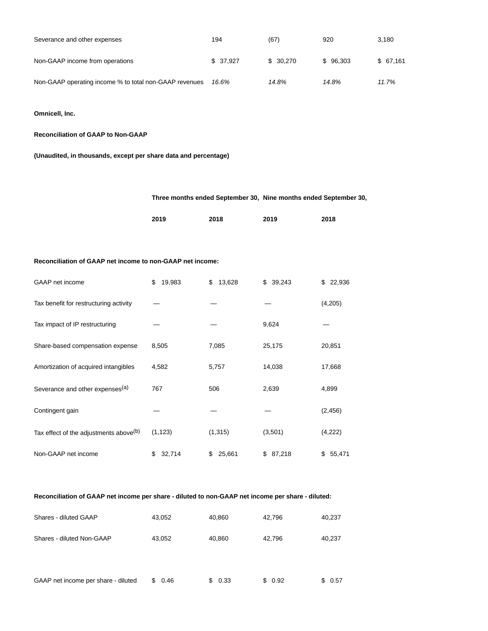| Severance and other expenses                           | 194      | (67)      | 920      | 3,180    |
|--------------------------------------------------------|----------|-----------|----------|----------|
| Non-GAAP income from operations                        | \$37.927 | \$ 30.270 | \$96.303 | \$67.161 |
| Non-GAAP operating income % to total non-GAAP revenues | 16.6%    | 14.8%     | 14.8%    | 11.7%    |

### **Reconciliation of GAAP to Non-GAAP**

**(Unaudited, in thousands, except per share data and percentage)**

### **Three months ended September 30, Nine months ended September 30,**

| 2019 | 2018 | 2019 | 2018 |
|------|------|------|------|
|      |      |      |      |

### **Reconciliation of GAAP net income to non-GAAP net income:**

| GAAP net income                                    | \$<br>19,983 | \$<br>13,628 | \$39,243     | \$<br>22,936 |
|----------------------------------------------------|--------------|--------------|--------------|--------------|
| Tax benefit for restructuring activity             |              |              |              | (4,205)      |
| Tax impact of IP restructuring                     |              |              | 9,624        |              |
| Share-based compensation expense                   | 8,505        | 7,085        | 25,175       | 20,851       |
| Amortization of acquired intangibles               | 4,582        | 5,757        | 14,038       | 17,668       |
| Severance and other expenses <sup>(a)</sup>        | 767          | 506          | 2,639        | 4,899        |
| Contingent gain                                    |              |              |              | (2, 456)     |
| Tax effect of the adjustments above <sup>(b)</sup> | (1, 123)     | (1, 315)     | (3,501)      | (4,222)      |
| Non-GAAP net income                                | 32,714<br>\$ | \$<br>25,661 | 87,218<br>\$ | 55,471<br>\$ |

### **Reconciliation of GAAP net income per share - diluted to non-GAAP net income per share - diluted:**

| Shares - diluted GAAP               | 43,052  | 40,860     | 42,796 | 40,237    |
|-------------------------------------|---------|------------|--------|-----------|
| Shares - diluted Non-GAAP           | 43,052  | 40,860     | 42,796 | 40,237    |
|                                     |         |            |        |           |
| GAAP net income per share - diluted | \$ 0.46 | 0.33<br>S. | \$0.92 | S<br>0.57 |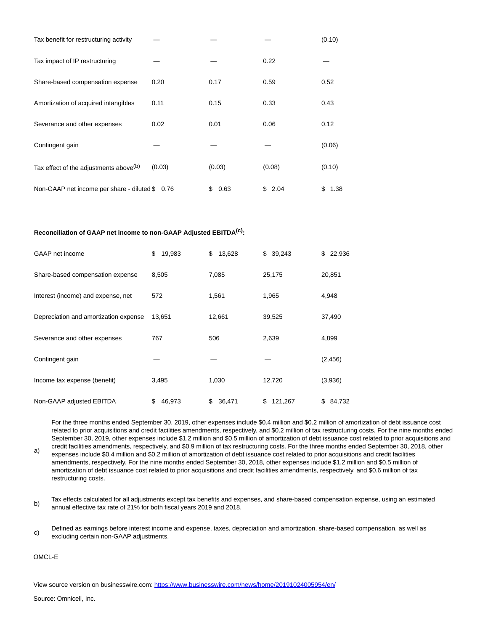| Tax benefit for restructuring activity          |        |            |        | (0.10)      |
|-------------------------------------------------|--------|------------|--------|-------------|
| Tax impact of IP restructuring                  |        |            | 0.22   |             |
| Share-based compensation expense                | 0.20   | 0.17       | 0.59   | 0.52        |
| Amortization of acquired intangibles            | 0.11   | 0.15       | 0.33   | 0.43        |
| Severance and other expenses                    | 0.02   | 0.01       | 0.06   | 0.12        |
| Contingent gain                                 |        |            |        | (0.06)      |
| Tax effect of the adjustments above(b)          | (0.03) | (0.03)     | (0.08) | (0.10)      |
| Non-GAAP net income per share - diluted \$ 0.76 |        | 0.63<br>\$ | \$2.04 | 1.38<br>\$. |
|                                                 |        |            |        |             |

### **Reconciliation of GAAP net income to non-GAAP Adjusted EBITDA(c):**

| GAAP net income                       | \$<br>19,983 | 13,628<br>\$ | \$<br>39,243  | 22,936<br>\$ |
|---------------------------------------|--------------|--------------|---------------|--------------|
| Share-based compensation expense      | 8,505        | 7,085        | 25,175        | 20,851       |
| Interest (income) and expense, net    | 572          | 1,561        | 1,965         | 4,948        |
| Depreciation and amortization expense | 13,651       | 12,661       | 39,525        | 37,490       |
| Severance and other expenses          | 767          | 506          | 2,639         | 4,899        |
| Contingent gain                       |              |              |               | (2, 456)     |
| Income tax expense (benefit)          | 3,495        | 1,030        | 12,720        | (3,936)      |
| Non-GAAP adjusted EBITDA              | 46,973<br>\$ | 36,471<br>\$ | \$<br>121,267 | \$84,732     |

For the three months ended September 30, 2019, other expenses include \$0.4 million and \$0.2 million of amortization of debt issuance cost related to prior acquisitions and credit facilities amendments, respectively, and \$0.2 million of tax restructuring costs. For the nine months ended September 30, 2019, other expenses include \$1.2 million and \$0.5 million of amortization of debt issuance cost related to prior acquisitions and credit facilities amendments, respectively, and \$0.9 million of tax restructuring costs. For the three months ended September 30, 2018, other

a) expenses include \$0.4 million and \$0.2 million of amortization of debt issuance cost related to prior acquisitions and credit facilities amendments, respectively. For the nine months ended September 30, 2018, other expenses include \$1.2 million and \$0.5 million of amortization of debt issuance cost related to prior acquisitions and credit facilities amendments, respectively, and \$0.6 million of tax restructuring costs.

Tax effects calculated for all adjustments except tax benefits and expenses, and share-based compensation expense, using an estimated<br>
b) annual effective tax rate of 21% for both fiscal years 2019 and 2018.

c) Defined as earnings before interest income and expense, taxes, depreciation and amortization, share-based compensation, as well as excluding certain non-GAAP adjustments.

OMCL-E

View source version on businesswire.com:<https://www.businesswire.com/news/home/20191024005954/en/>